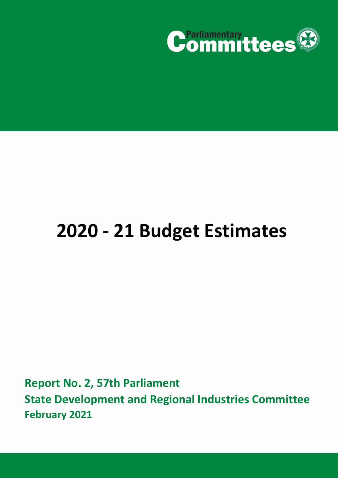

# **2020 - 21 Budget Estimates**

**Report No. 2, 57th Parliament State Development and Regional Industries Committee February 2021**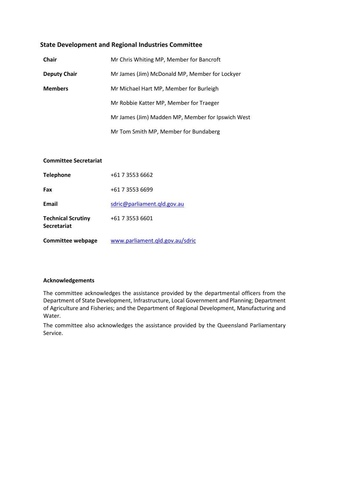# **State Development and Regional Industries Committee**

| <b>Chair</b>        | Mr Chris Whiting MP, Member for Bancroft          |
|---------------------|---------------------------------------------------|
| <b>Deputy Chair</b> | Mr James (Jim) McDonald MP, Member for Lockyer    |
| <b>Members</b>      | Mr Michael Hart MP, Member for Burleigh           |
|                     | Mr Robbie Katter MP, Member for Traeger           |
|                     | Mr James (Jim) Madden MP, Member for Ipswich West |
|                     | Mr Tom Smith MP, Member for Bundaberg             |

# **Committee Secretariat**

| <b>Telephone</b>                                | +61 7 3553 6662                 |
|-------------------------------------------------|---------------------------------|
| Fax                                             | +61 7 3553 6699                 |
| Email                                           | sdric@parliament.gld.gov.au     |
| <b>Technical Scrutiny</b><br><b>Secretariat</b> | +61 7 3553 6601                 |
| <b>Committee webpage</b>                        | www.parliament.qld.gov.au/sdric |

## **Acknowledgements**

The committee acknowledges the assistance provided by the departmental officers from the Department of State Development, Infrastructure, Local Government and Planning; Department of Agriculture and Fisheries; and the Department of Regional Development, Manufacturing and Water.

The committee also acknowledges the assistance provided by the Queensland Parliamentary Service.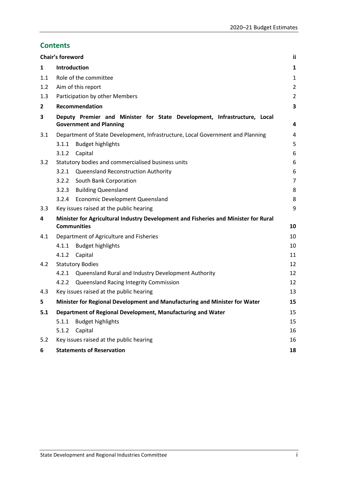# **Contents**

|                | Chair's foreword                                                                                           | Ϊİ             |
|----------------|------------------------------------------------------------------------------------------------------------|----------------|
| 1              | <b>Introduction</b>                                                                                        | 1              |
| 1.1            | Role of the committee                                                                                      | $\mathbf{1}$   |
| 1.2            | Aim of this report                                                                                         | $\overline{2}$ |
| 1.3            | Participation by other Members                                                                             | $\overline{2}$ |
| $\overline{2}$ | Recommendation                                                                                             | 3              |
| 3              | Deputy Premier and Minister for State Development, Infrastructure, Local<br><b>Government and Planning</b> | 4              |
| 3.1            | Department of State Development, Infrastructure, Local Government and Planning                             | 4              |
|                | 3.1.1<br><b>Budget highlights</b>                                                                          | 5              |
|                | Capital<br>3.1.2                                                                                           | 6              |
| 3.2            | Statutory bodies and commercialised business units                                                         | 6              |
|                | 3.2.1<br><b>Queensland Reconstruction Authority</b>                                                        | 6              |
|                | 3.2.2<br>South Bank Corporation                                                                            | $\overline{7}$ |
|                | <b>Building Queensland</b><br>3.2.3                                                                        | 8              |
|                | <b>Economic Development Queensland</b><br>3.2.4                                                            | 8              |
| 3.3            | Key issues raised at the public hearing                                                                    | 9              |
| 4              | Minister for Agricultural Industry Development and Fisheries and Minister for Rural<br><b>Communities</b>  | 10             |
| 4.1            | Department of Agriculture and Fisheries                                                                    | 10             |
|                | <b>Budget highlights</b><br>4.1.1                                                                          | 10             |
|                | 4.1.2<br>Capital                                                                                           | 11             |
| 4.2            | <b>Statutory Bodies</b>                                                                                    | 12             |
|                | 4.2.1<br>Queensland Rural and Industry Development Authority                                               | 12             |
|                | Queensland Racing Integrity Commission<br>4.2.2                                                            | 12             |
| 4.3            | Key issues raised at the public hearing                                                                    | 13             |
| 5              | Minister for Regional Development and Manufacturing and Minister for Water                                 | 15             |
| 5.1            | Department of Regional Development, Manufacturing and Water                                                | 15             |
|                | <b>Budget highlights</b><br>5.1.1                                                                          | 15             |
|                | Capital<br>5.1.2                                                                                           | 16             |
| 5.2            | Key issues raised at the public hearing                                                                    | 16             |
| 6              | <b>Statements of Reservation</b>                                                                           | 18             |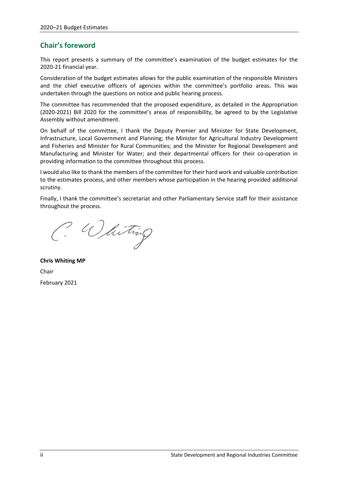# <span id="page-3-0"></span>**Chair's foreword**

This report presents a summary of the committee's examination of the budget estimates for the 2020-21 financial year.

Consideration of the budget estimates allows for the public examination of the responsible Ministers and the chief executive officers of agencies within the committee's portfolio areas. This was undertaken through the questions on notice and public hearing process.

The committee has recommended that the proposed expenditure, as detailed in the Appropriation (2020-2021) Bill 2020 for the committee's areas of responsibility, be agreed to by the Legislative Assembly without amendment.

On behalf of the committee, I thank the Deputy Premier and Minister for State Development, Infrastructure, Local Government and Planning; the Minister for Agricultural Industry Development and Fisheries and Minister for Rural Communities; and the Minister for Regional Development and Manufacturing and Minister for Water; and their departmental officers for their co-operation in providing information to the committee throughout this process.

I would also like to thank the members of the committee for their hard work and valuable contribution to the estimates process, and other members whose participation in the hearing provided additional scrutiny.

Finally, I thank the committee's secretariat and other Parliamentary Service staff for their assistance throughout the process.

C. Whiting

**Chris Whiting MP** Chair February 2021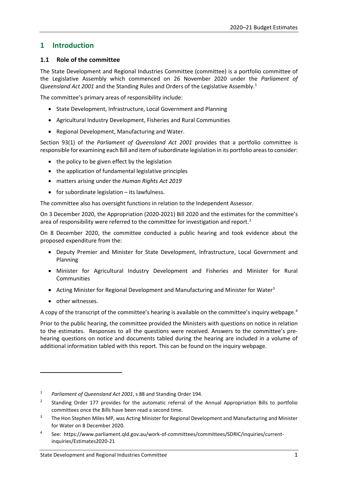# <span id="page-4-0"></span>**1 Introduction**

# <span id="page-4-1"></span>**1.1 Role of the committee**

The State Development and Regional Industries Committee (committee) is a portfolio committee of the Legislative Assembly which commenced on 26 November 2020 under the *Parliament of Queensland Act 2001* and the Standing Rules and Orders of the Legislative Assembly.[1](#page-4-2)

The committee's primary areas of responsibility include:

- State Development, Infrastructure, Local Government and Planning
- Agricultural Industry Development, Fisheries and Rural Communities
- Regional Development, Manufacturing and Water.

Section 93(1) of the *Parliament of Queensland Act 2001* provides that a portfolio committee is responsible for examining each Bill and item of subordinate legislation in its portfolio areas to consider:

- the policy to be given effect by the legislation
- the application of fundamental legislative principles
- matters arising under the *Human Rights Act 2019*
- for subordinate legislation its lawfulness.

The committee also has oversight functions in relation to the Independent Assessor.

On 3 December 2020, the Appropriation (2020-2021) Bill 2020 and the estimates for the committee's area of responsibility were referred to the committee for investigation and report.<sup>[2](#page-4-3)</sup>

On 8 December 2020, the committee conducted a public hearing and took evidence about the proposed expenditure from the:

- Deputy Premier and Minister for State Development, Infrastructure, Local Government and Planning
- Minister for Agricultural Industry Development and Fisheries and Minister for Rural **Communities**
- Acting Minister for Regional Development and Manufacturing and Minister for Water<sup>[3](#page-4-4)</sup>
- other witnesses.

A copy of the transcript of the committee's hearing is available on the committee's inquiry webpage.<sup>[4](#page-4-5)</sup>

Prior to the public hearing, the committee provided the Ministers with questions on notice in relation to the estimates. Responses to all the questions were received. Answers to the committee's prehearing questions on notice and documents tabled during the hearing are included in a volume of additional information tabled with this report. This can be found on the inquiry webpage.

<span id="page-4-2"></span><sup>1</sup> *Parliament of Queensland Act 2001*, s 88 and Standing Order 194.

<span id="page-4-3"></span><sup>&</sup>lt;sup>2</sup> Standing Order 177 provides for the automatic referral of the Annual Appropriation Bills to portfolio committees once the Bills have been read a second time.

<span id="page-4-4"></span><sup>&</sup>lt;sup>3</sup> The Hon Stephen Miles MP, was Acting Minister for Regional Development and Manufacturing and Minister for Water on 8 December 2020.

<span id="page-4-5"></span><sup>4</sup> See: https://www.parliament.qld.gov.au/work-of-committees/committees/SDRIC/inquiries/currentinquiries/Estimates2020-21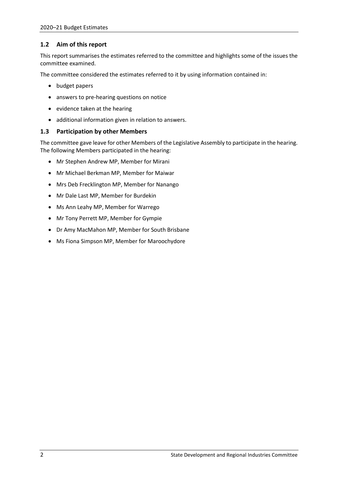# <span id="page-5-0"></span>**1.2 Aim of this report**

This report summarises the estimates referred to the committee and highlights some of the issues the committee examined.

The committee considered the estimates referred to it by using information contained in:

- budget papers
- answers to pre-hearing questions on notice
- evidence taken at the hearing
- additional information given in relation to answers.

# <span id="page-5-1"></span>**1.3 Participation by other Members**

The committee gave leave for other Members of the Legislative Assembly to participate in the hearing. The following Members participated in the hearing:

- Mr Stephen Andrew MP, Member for Mirani
- Mr Michael Berkman MP, Member for Maiwar
- Mrs Deb Frecklington MP, Member for Nanango
- Mr Dale Last MP, Member for Burdekin
- Ms Ann Leahy MP, Member for Warrego
- Mr Tony Perrett MP, Member for Gympie
- Dr Amy MacMahon MP, Member for South Brisbane
- <span id="page-5-2"></span>• Ms Fiona Simpson MP, Member for Maroochydore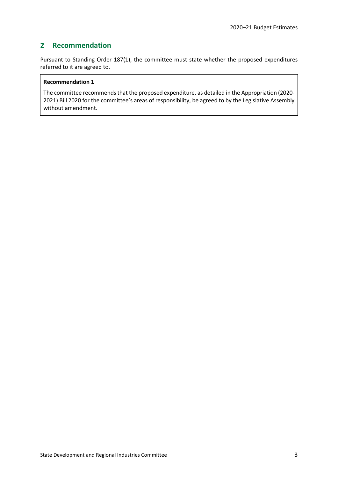# **2 Recommendation**

Pursuant to Standing Order 187(1), the committee must state whether the proposed expenditures referred to it are agreed to.

# **Recommendation 1**

The committee recommends that the proposed expenditure, as detailed in the Appropriation (2020- 2021) Bill 2020 for the committee's areas of responsibility, be agreed to by the Legislative Assembly without amendment.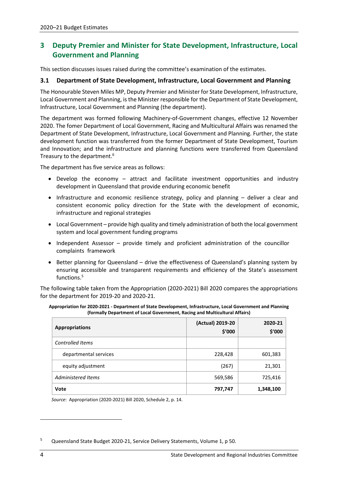# <span id="page-7-0"></span>**3 Deputy Premier and Minister for State Development, Infrastructure, Local Government and Planning**

This section discusses issues raised during the committee's examination of the estimates.

# <span id="page-7-1"></span>**3.1 Department of State Development, Infrastructure, Local Government and Planning**

The Honourable Steven Miles MP, Deputy Premier and Minister for State Development, Infrastructure, Local Government and Planning, is the Minister responsible for the Department of State Development, Infrastructure, Local Government and Planning (the department).

The department was formed following Machinery-of-Government changes, effective 12 November 2020. The fomer Department of Local Government, Racing and Multicultural Affairs was renamed the Department of State Development, Infrastructure, Local Government and Planning. Further, the state development function was transferred from the former Department of State Development, Tourism and Innovation; and the infrastructure and planning functions were transferred from Queensland Treasury to the department.<sup>6</sup>

The department has five service areas as follows:

- Develop the economy attract and facilitate investment opportunities and industry development in Queensland that provide enduring economic benefit
- Infrastructure and economic resilience strategy, policy and planning deliver a clear and consistent economic policy direction for the State with the development of economic, infrastructure and regional strategies
- Local Government provide high quality and timely administration of both the local government system and local government funding programs
- Independent Assessor provide timely and proficient administration of the councillor complaints framework
- Better planning for Queensland drive the effectiveness of Queensland's planning system by ensuring accessible and transparent requirements and efficiency of the State's assessment functions. [5](#page-7-2)

The following table taken from the Appropriation (2020-2021) Bill 2020 compares the appropriations for the department for 2019-20 and 2020-21.

| Appropriation for 2020-2021 - Department of State Development, Infrastructure, Local Government and Planning |  |
|--------------------------------------------------------------------------------------------------------------|--|
| (formally Department of Local Government, Racing and Multicultural Affairs)                                  |  |

| <b>Appropriations</b>   | (Actual) 2019-20<br>\$′000 | 2020-21<br>\$'000 |
|-------------------------|----------------------------|-------------------|
| <b>Controlled Items</b> |                            |                   |
| departmental services   | 228,428                    | 601,383           |
| equity adjustment       | (267)                      | 21,301            |
| Administered Items      | 569,586                    | 725,416           |
| <b>Vote</b>             | 797,747                    | 1,348,100         |

*Source*: Appropriation (2020-2021) Bill 2020, Schedule 2, p. 14.

<span id="page-7-2"></span><sup>&</sup>lt;sup>5</sup> Queensland State Budget 2020-21, Service Delivery Statements, Volume 1, p 50.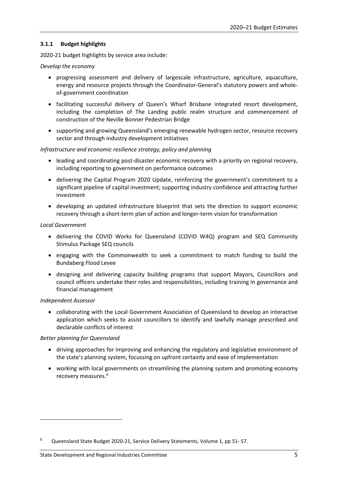# <span id="page-8-0"></span>**3.1.1 Budget highlights**

2020-21 budget highlights by service area include:

#### *Develop the economy*

- progressing assessment and delivery of largescale infrastructure, agriculture, aquaculture, energy and resource projects through the Coordinator-General's statutory powers and wholeof-government coordination
- facilitating successful delivery of Queen's Wharf Brisbane integrated resort development, including the completion of The Landing public realm structure and commencement of construction of the Neville Bonner Pedestrian Bridge
- supporting and growing Queensland's emerging renewable hydrogen sector, resource recovery sector and through industry development initiatives

## *Infrastructure and economic resilience strategy, policy and planning*

- leading and coordinating post-disaster economic recovery with a priority on regional recovery, including reporting to government on performance outcomes
- delivering the Capital Program 2020 Update, reinforcing the government's commitment to a significant pipeline of capital investment; supporting industry confidence and attracting further investment
- developing an updated infrastructure blueprint that sets the direction to support economic recovery through a short-term plan of action and longer-term vision for transformation

#### *Local Government*

- delivering the COVID Works for Queensland (COVID W4Q) program and SEQ Community Stimulus Package SEQ councils
- engaging with the Commonwealth to seek a commitment to match funding to build the Bundaberg Flood Levee
- designing and delivering capacity building programs that support Mayors, Councillors and council officers undertake their roles and responsibilities, including training in governance and financial management

## *Independent Assessor*

• collaborating with the Local Government Association of Queensland to develop an interactive application which seeks to assist councillors to identify and lawfully manage prescribed and declarable conflicts of interest

## *Better planning for Queensland*

- driving approaches for improving and enhancing the regulatory and legislative environment of the state's planning system, focussing on upfront certainty and ease of implementation
- working with local governments on streamlining the planning system and promoting economy recovery measures.[6](#page-8-1)

<span id="page-8-1"></span><sup>6</sup> Queensland State Budget 2020-21, Service Delivery Statements, Volume 1, pp 51- 57.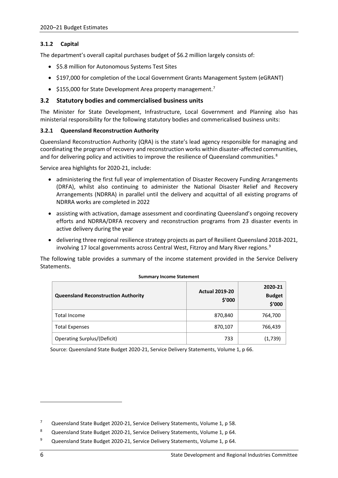# <span id="page-9-0"></span>**3.1.2 Capital**

The department's overall capital purchases budget of \$6.2 million largely consists of:

- \$5.8 million for Autonomous Systems Test Sites
- \$197,000 for completion of the Local Government Grants Management System (eGRANT)
- \$155,000 for State Development Area property management.<sup>[7](#page-9-3)</sup>

# <span id="page-9-1"></span>**3.2 Statutory bodies and commercialised business units**

The Minister for State Development, Infrastructure, Local Government and Planning also has ministerial responsibility for the following statutory bodies and commericalised business units:

# <span id="page-9-2"></span>**3.2.1 Queensland Reconstruction Authority**

Queensland Reconstruction Authority (QRA) is the state's lead agency responsible for managing and coordinating the program of recovery and reconstruction works within disaster-affected communities, and for delivering policy and activities to improve the resilience of Queensland communities.<sup>[8](#page-9-4)</sup>

Service area highlights for 2020-21, include:

- administering the first full year of implementation of Disaster Recovery Funding Arrangements (DRFA), whilst also continuing to administer the National Disaster Relief and Recovery Arrangements (NDRRA) in parallel until the delivery and acquittal of all existing programs of NDRRA works are completed in 2022
- assisting with activation, damage assessment and coordinating Queensland's ongoing recovery efforts and NDRRA/DRFA recovery and reconstruction programs from 23 disaster events in active delivery during the year
- delivering three regional resilience strategy projects as part of Resilient Queensland 2018-2021, involving 17 local governments across Central West, Fitzroy and Mary River regions.<sup>[9](#page-9-5)</sup>

The following table provides a summary of the income statement provided in the Service Delivery Statements.

| <b>Queensland Reconstruction Authority</b> | <b>Actual 2019-20</b><br>\$'000 | 2020-21<br><b>Budget</b><br>\$'000 |
|--------------------------------------------|---------------------------------|------------------------------------|
| <b>Total Income</b>                        | 870,840                         | 764,700                            |
| <b>Total Expenses</b>                      | 870,107                         | 766,439                            |
| Operating Surplus/(Deficit)                | 733                             | (1,739)                            |

#### **Summary Income Statement**

Source: Queensland State Budget 2020-21, Service Delivery Statements, Volume 1, p 66.

<span id="page-9-3"></span><sup>&</sup>lt;sup>7</sup> Queensland State Budget 2020-21, Service Delivery Statements, Volume 1, p 58.

<span id="page-9-4"></span><sup>8</sup> Queensland State Budget 2020-21, Service Delivery Statements, Volume 1, p 64.

<span id="page-9-5"></span><sup>&</sup>lt;sup>9</sup> Queensland State Budget 2020-21, Service Delivery Statements, Volume 1, p 64.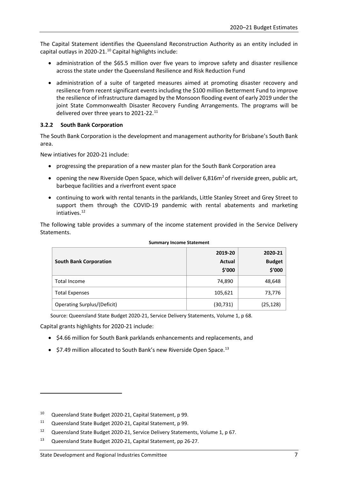The Capital Statement identifies the Queensland Reconstruction Authority as an entity included in capital outlays in 2020-21. $^{10}$  $^{10}$  $^{10}$  Capital highlights include:

- administration of the \$65.5 million over five years to improve safety and disaster resilience across the state under the Queensland Resilience and Risk Reduction Fund
- administration of a suite of targeted measures aimed at promoting disaster recovery and resilience from recent significant events including the \$100 million Betterment Fund to improve the resilience of infrastructure damaged by the Monsoon flooding event of early 2019 under the joint State Commonwealth Disaster Recovery Funding Arrangements. The programs will be delivered over three years to 2021-22.<sup>11</sup>

# <span id="page-10-0"></span>**3.2.2 South Bank Corporation**

The South Bank Corporation is the development and management authority for Brisbane's South Bank area.

New intiatives for 2020-21 include:

- progressing the preparation of a new master plan for the South Bank Corporation area
- opening the new Riverside Open Space, which will deliver  $6.816m<sup>2</sup>$  of riverside green, public art, barbeque facilities and a riverfront event space
- continuing to work with rental tenants in the parklands, Little Stanley Street and Grey Street to support them through the COVID-19 pandemic with rental abatements and marketing intiatives.[12](#page-10-3)

The following table provides a summary of the income statement provided in the Service Delivery Statements.

| <b>South Bank Corporation</b> | 2019-20<br><b>Actual</b><br>\$'000 | 2020-21<br><b>Budget</b><br>\$'000 |
|-------------------------------|------------------------------------|------------------------------------|
| <b>Total Income</b>           | 74,890                             | 48,648                             |
| <b>Total Expenses</b>         | 105,621                            | 73,776                             |
| Operating Surplus/(Deficit)   | (30, 731)                          | (25,128)                           |

#### **Summary Income Statement**

Source: Queensland State Budget 2020-21, Service Delivery Statements, Volume 1, p 68.

Capital grants highlights for 2020-21 include:

- \$4.66 million for South Bank parklands enhancements and replacements, and
- $\bullet$  \$7.49 million allocated to South Bank's new Riverside Open Space.<sup>[13](#page-10-4)</sup>

<span id="page-10-1"></span><sup>10</sup> Queensland State Budget 2020-21, Capital Statement, p 99.

<span id="page-10-2"></span><sup>11</sup> Queensland State Budget 2020-21, Capital Statement, p 99.

<span id="page-10-3"></span><sup>12</sup> Queensland State Budget 2020-21, Service Delivery Statements, Volume 1, p 67.

<span id="page-10-4"></span><sup>13</sup> Queensland State Budget 2020-21, Capital Statement, pp 26-27.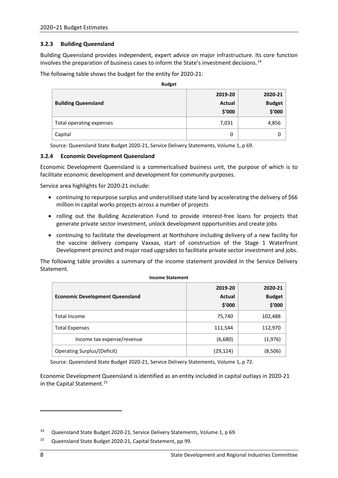# <span id="page-11-0"></span>**3.2.3 Building Queensland**

Building Queensland provides independent, expert advice on major infrastructure. Its core function involves the preparation of business cases to inform the State's investment decisions. [14](#page-11-2) 

**Budget**

The following table shows the budget for the entity for 2020-21:

| <b>Duurce</b>              |               |               |
|----------------------------|---------------|---------------|
|                            | 2019-20       | 2020-21       |
| <b>Building Queensland</b> | <b>Actual</b> | <b>Budget</b> |
|                            | \$'000        | \$'000        |
| Total operating expenses   | 7,031         | 4,856         |
| Capital                    | 0             |               |

Source: Queensland State Budget 2020-21, Service Delivery Statements, Volume 1, p 69.

## <span id="page-11-1"></span>**3.2.4 Economic Development Queensland**

Economic Development Queensland is a commericalised business unit, the purpose of which is to facilitate economic development and development for community purposes.

Service area highlights for 2020-21 include:

- continuing to repurpose surplus and underutilised state land by accelerating the delivery of \$66 million in capital works projects across a number of projects
- rolling out the Building Acceleration Fund to provide interest-free loans for projects that generate private sector investment, unlock development opportunities and create jobs
- continuing to facilitate the development at Northshore including delivery of a new facility for the vaccine delivery company Vaxxas, start of construction of the Stage 1 Waterfront Development precinct and major road upgrades to facilitate private sector investment and jobs.

The following table provides a summary of the income statement provided in the Service Delivery Statement.

|                                        | 2019-20       | 2020-21       |
|----------------------------------------|---------------|---------------|
| <b>Economic Development Queensland</b> | <b>Actual</b> | <b>Budget</b> |
|                                        | \$′000        | \$'000        |
| <b>Total Income</b>                    | 75,740        | 102,488       |
| <b>Total Expenses</b>                  | 111,544       | 112,970       |
| Income tax expense/revenue             | (6,680)       | (1,976)       |
| Operating Surplus/(Deficit)            | (29,124)      | (8,506)       |

**Income Statement**

Source: Queensland State Budget 2020-21, Service Delivery Statements, Volume 1, p 72.

Economic Development Queensland is identified as an entity included in capital outlays in 2020-21 in the Capital Statement. [15](#page-11-3)

<span id="page-11-2"></span><sup>14</sup> Queensland State Budget 2020-21, Service Delivery Statements, Volume 1, p 69.

<span id="page-11-3"></span><sup>15</sup> Queensland State Budget 2020-21, Capital Statement, pp 99.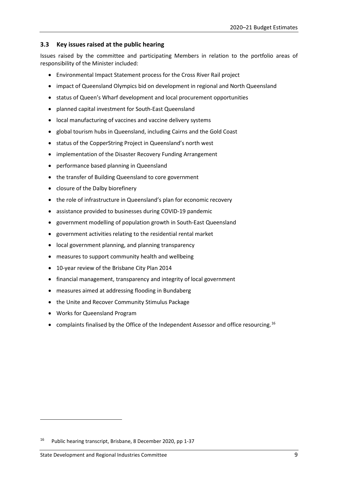# <span id="page-12-0"></span>**3.3 Key issues raised at the public hearing**

Issues raised by the committee and participating Members in relation to the portfolio areas of responsibility of the Minister included:

- Environmental Impact Statement process for the Cross River Rail project
- impact of Queensland Olympics bid on development in regional and North Queensland
- status of Queen's Wharf development and local procurement opportunities
- planned capital investment for South-East Queensland
- local manufacturing of vaccines and vaccine delivery systems
- global tourism hubs in Queensland, including Cairns and the Gold Coast
- status of the CopperString Project in Queensland's north west
- implementation of the Disaster Recovery Funding Arrangement
- performance based planning in Queensland
- the transfer of Building Queensland to core government
- closure of the Dalby biorefinery
- the role of infrastructure in Queensland's plan for economic recovery
- assistance provided to businesses during COVID-19 pandemic
- government modelling of population growth in South-East Queensland
- government activities relating to the residential rental market
- local government planning, and planning transparency
- measures to support community health and wellbeing
- 10-year review of the Brisbane City Plan 2014
- financial management, transparency and integrity of local government
- measures aimed at addressing flooding in Bundaberg
- the Unite and Recover Community Stimulus Package
- Works for Queensland Program
- complaints finalised by the Office of the Independent Assessor and office resourcing.<sup>[16](#page-12-1)</sup>

<span id="page-12-1"></span><sup>16</sup> Public hearing transcript, Brisbane, 8 December 2020, pp 1-37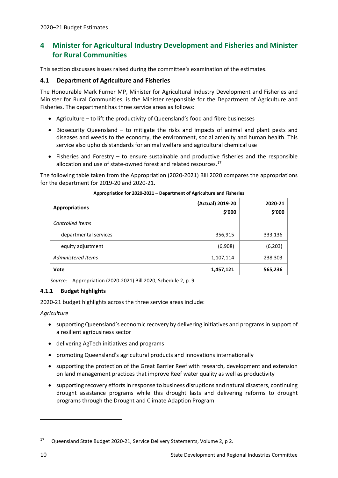# <span id="page-13-0"></span>**4 Minister for Agricultural Industry Development and Fisheries and Minister for Rural Communities**

This section discusses issues raised during the committee's examination of the estimates.

# <span id="page-13-1"></span>**4.1 Department of Agriculture and Fisheries**

The Honourable Mark Furner MP, Minister for Agricultural Industry Development and Fisheries and Minister for Rural Communities, is the Minister responsible for the Department of Agriculture and Fisheries. The department has three service areas as follows:

- Agriculture to lift the productivity of Queensland's food and fibre businesses
- Biosecurity Queensland to mitigate the risks and impacts of animal and plant pests and diseases and weeds to the economy, the environment, social amenity and human health. This service also upholds standards for animal welfare and agricultural chemical use
- Fisheries and Forestry to ensure sustainable and productive fisheries and the responsible allocation and use of state-owned forest and related resources.<sup>[17](#page-13-3)</sup>

The following table taken from the Appropriation (2020-2021) Bill 2020 compares the appropriations for the department for 2019-20 and 2020-21.

| <b>Appropriations</b> | (Actual) 2019-20<br>\$'000 | 2020-21<br>\$'000 |
|-----------------------|----------------------------|-------------------|
| Controlled Items      |                            |                   |
| departmental services | 356,915                    | 333,136           |
| equity adjustment     | (6,908)                    | (6, 203)          |
| Administered Items    | 1,107,114                  | 238,303           |
| Vote                  | 1,457,121                  | 565,236           |

#### **Appropriation for 2020-2021 – Department of Agriculture and Fisheries**

*Source*: Appropriation (2020-2021) Bill 2020, Schedule 2, p. 9.

# <span id="page-13-2"></span>**4.1.1 Budget highlights**

2020-21 budget highlights across the three service areas include:

## *Agriculture*

- supporting Queensland's economic recovery by delivering initiatives and programs in support of a resilient agribusiness sector
- delivering AgTech initiatives and programs
- promoting Queensland's agricultural products and innovations internationally
- supporting the protection of the Great Barrier Reef with research, development and extension on land management practices that improve Reef water quality as well as productivity
- supporting recovery efforts in response to business disruptions and natural disasters, continuing drought assistance programs while this drought lasts and delivering reforms to drought programs through the Drought and Climate Adaption Program

<span id="page-13-3"></span><sup>17</sup> Queensland State Budget 2020-21, Service Delivery Statements, Volume 2, p 2.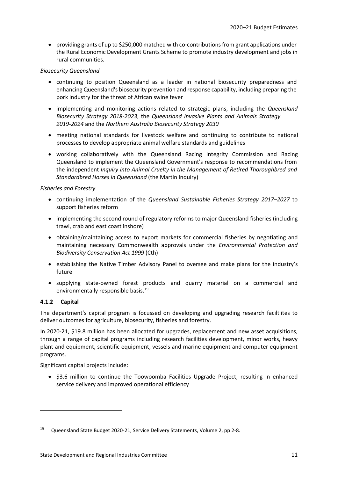• providing grants of up to \$250,000 matched with co-contributions from grant applications under the Rural Economic Development Grants Scheme to promote industry development and jobs in rural communities.

# *Biosecurity Queensland*

- continuing to position Queensland as a leader in national biosecurity preparedness and enhancing Queensland's biosecurity prevention and response capability, including preparing the pork industry for the threat of African swine fever
- implementing and monitoring actions related to strategic plans, including the *Queensland Biosecurity Strategy 2018-2023*, the *Queensland Invasive Plants and Animals Strategy 2019-2024* and the *Northern Australia Biosecurity Strategy 2030*
- meeting national standards for livestock welfare and continuing to contribute to national processes to develop appropriate animal welfare standards and guidelines
- working collaboratively with the Queensland Racing Integrity Commission and Racing Queensland to implement the Queensland Government's response to recommendations from the independent *Inquiry into Animal Cruelty in the Management of Retired Thoroughbred and Standardbred Horses in Queensland* (the Martin Inquiry)

# *Fisheries and Forestry*

- continuing implementation of the *Queensland Sustainable Fisheries Strategy 2017–2027* to support fisheries reform
- implementing the second round of regulatory reforms to major Queensland fisheries (including trawl, crab and east coast inshore)
- obtaining/maintaining access to export markets for commercial fisheries by negotiating and maintaining necessary Commonwealth approvals under the *Environmental Protection and Biodiversity Conservation Act 1999* (Cth)
- establishing the Native Timber Advisory Panel to oversee and make plans for the industry's future
- supplying state-owned forest products and quarry material on a commercial and environmentally responsible basis.<sup>[19](#page-14-1)</sup>

# <span id="page-14-0"></span>**4.1.2 Capital**

The department's capital program is focussed on developing and upgrading research faciltiites to deliver outcomes for agriculture, biosecurity, fisheries and forestry.

In 2020-21, \$19.8 million has been allocated for upgrades, replacement and new asset acquisitions, through a range of capital programs including research facilities development, minor works, heavy plant and equipment, scientific equipment, vessels and marine equipment and computer equipment programs.

Significant capital projects include:

• \$3.6 million to continue the Toowoomba Facilities Upgrade Project, resulting in enhanced service delivery and improved operational efficiency

<span id="page-14-1"></span><sup>19</sup> Queensland State Budget 2020-21, Service Delivery Statements, Volume 2, pp 2-8.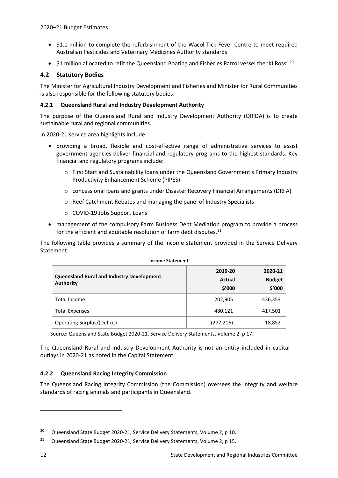- \$1.1 million to complete the refurbishment of the Wacol Tick Fever Centre to meet required Australian Pesticides and Veterinary Medicines Authority standards
- $\sharp$ 1 million allocated to refit the Queensland Boating and Fisheries Patrol vessel the 'KI Ross'.<sup>20</sup>

# <span id="page-15-0"></span>**4.2 Statutory Bodies**

The Minister for Agricultural Industry Development and Fisheries and Minister for Rural Communities is also responsible for the following statutory bodies:

## <span id="page-15-1"></span>**4.2.1 Queensland Rural and Industry Development Authority**

The purpose of the Queensland Rural and Industry Development Authority (QRIDA) is to create sustainable rural and regional communities.

In 2020-21 service area highlights include:

- providing a broad, flexible and cost-effective range of administrative services to assist government agencies deliver financial and regulatory programs to the highest standards. Key financial and regulatory programs include:
	- o First Start and Sustainability loans under the Queensland Government's Primary Industry Productivity Enhancement Scheme (PIPES)
	- o concessional loans and grants under Disaster Recovery Financial Arrangements (DRFA)
	- o Reef Catchment Rebates and managing the panel of Industry Specialists
	- o COVID-19 Jobs Support Loans
- management of the compulsory Farm Business Debt Mediation program to provide a process for the efficient and equitable resolution of farm debt disputes. $21$

The following table provides a summary of the income statement provided in the Service Delivery Statement.

**Income Statement**

| <b>Queensland Rural and Industry Development</b><br><b>Authority</b> | 2019-20<br>Actual<br>\$′000 | 2020-21<br><b>Budget</b><br>\$'000 |  |
|----------------------------------------------------------------------|-----------------------------|------------------------------------|--|
| <b>Total Income</b>                                                  | 202,905                     | 436,353                            |  |
| <b>Total Expenses</b>                                                | 480,121                     | 417,501                            |  |
| <b>Operating Surplus/(Deficit)</b>                                   | (277, 216)                  | 18,852                             |  |

Source: Queensland State Budget 2020-21, Service Delivery Statements, Volume 2, p 17.

The Queensland Rural and Industry Development Authority is not an entity included in capital outlays in 2020-21 as noted in the Capital Statement.

# <span id="page-15-2"></span>**4.2.2 Queensland Racing Integrity Commission**

The Queensland Racing Integrity Commission (the Commission) oversees the integrity and welfare standards of racing animals and participants in Queensland.

<span id="page-15-3"></span><sup>&</sup>lt;sup>20</sup> Queensland State Budget 2020-21, Service Delivery Statements, Volume 2, p 10.

<span id="page-15-4"></span><sup>&</sup>lt;sup>21</sup> Queensland State Budget 2020-21, Service Delivery Statements, Volume 2, p 15.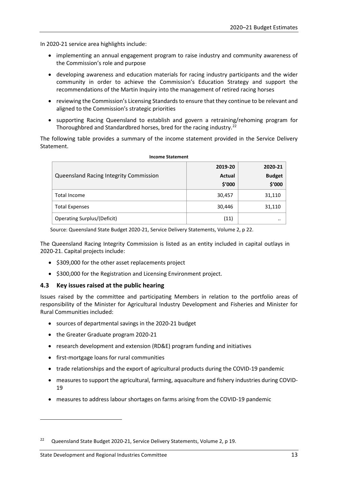In 2020-21 service area highlights include:

- implementing an annual engagement program to raise industry and community awareness of the Commission's role and purpose
- developing awareness and education materials for racing industry participants and the wider community in order to achieve the Commission's Education Strategy and support the recommendations of the Martin Inquiry into the management of retired racing horses
- reviewing the Commission's Licensing Standards to ensure that they continue to be relevant and aligned to the Commission's strategic priorities
- supporting Racing Queensland to establish and govern a retraining/rehoming program for Thoroughbred and Standardbred horses, bred for the racing industry.<sup>[22](#page-16-1)</sup>

The following table provides a summary of the income statement provided in the Service Delivery Statement.

| <b>Queensland Racing Integrity Commission</b> | 2019-20<br>Actual<br>\$'000 | 2020-21<br><b>Budget</b><br>\$'000 |
|-----------------------------------------------|-----------------------------|------------------------------------|
| Total Income                                  | 30,457                      | 31,110                             |
| <b>Total Expenses</b>                         | 30,446                      | 31,110                             |
| <b>Operating Surplus/(Deficit)</b>            | (11)                        | $\cdot \cdot$                      |

#### **Income Statement**

Source: Queensland State Budget 2020-21, Service Delivery Statements, Volume 2, p 22.

The Queensland Racing Integrity Commission is listed as an entity included in capital outlays in 2020-21. Capital projects include:

- \$309,000 for the other asset replacements project
- \$300,000 for the Registration and Licensing Environment project.

## <span id="page-16-0"></span>**4.3 Key issues raised at the public hearing**

Issues raised by the committee and participating Members in relation to the portfolio areas of responsibility of the Minister for Agricultural Industry Development and Fisheries and Minister for Rural Communities included:

- sources of departmental savings in the 2020-21 budget
- the Greater Graduate program 2020-21
- research development and extension (RD&E) program funding and initiatives
- first-mortgage loans for rural communities
- trade relationships and the export of agricultural products during the COVID-19 pandemic
- measures to support the agricultural, farming, aquaculture and fishery industries during COVID-19
- measures to address labour shortages on farms arising from the COVID-19 pandemic

<span id="page-16-1"></span><sup>&</sup>lt;sup>22</sup> Queensland State Budget 2020-21, Service Delivery Statements, Volume 2, p 19.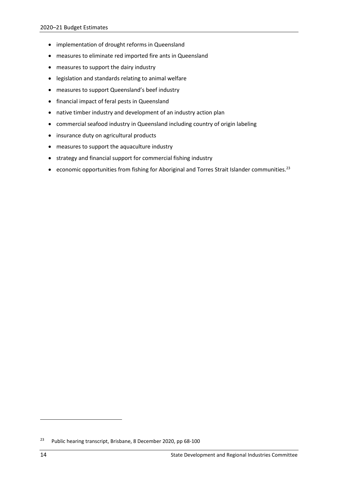- implementation of drought reforms in Queensland
- measures to eliminate red imported fire ants in Queensland
- measures to support the dairy industry
- legislation and standards relating to animal welfare
- measures to support Queensland's beef industry
- financial impact of feral pests in Queensland
- native timber industry and development of an industry action plan
- commercial seafood industry in Queensland including country of origin labeling
- insurance duty on agricultural products
- measures to support the aquaculture industry
- strategy and financial support for commercial fishing industry
- economic opportunities from fishing for Aboriginal and Torres Strait Islander communities.<sup>[23](#page-17-0)</sup>

<span id="page-17-0"></span><sup>23</sup> Public hearing transcript, Brisbane, 8 December 2020, pp 68-100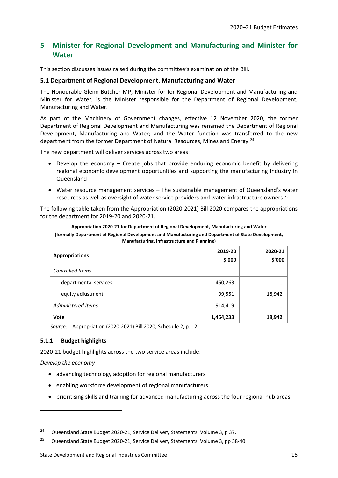# <span id="page-18-0"></span>**5 Minister for Regional Development and Manufacturing and Minister for Water**

This section discusses issues raised during the committee's examination of the Bill.

# <span id="page-18-1"></span>**5.1 Department of Regional Development, Manufacturing and Water**

The Honourable Glenn Butcher MP, Minister for for Regional Development and Manufacturing and Minister for Water, is the Minister responsible for the Department of Regional Development, Manufacturing and Water.

As part of the Machinery of Government changes, effective 12 November 2020, the former Department of Regional Development and Manufacturing was renamed the Department of Regional Development, Manufacturing and Water; and the Water function was transferred to the new department from the former Department of Natural Resources, Mines and Energy.<sup>[24](#page-18-3)</sup>

The new department will deliver services across two areas:

- Develop the economy Create jobs that provide enduring economic benefit by delivering regional economic development opportunities and supporting the manufacturing industry in Queensland
- Water resource management services The sustainable management of Queensland's water resources as well as oversight of water service providers and water infrastructure owners. [25](#page-18-4)

The following table taken from the Appropriation (2020-2021) Bill 2020 compares the appropriations for the department for 2019-20 and 2020-21.

| Appropriation 2020-21 for Department of Regional Development, Manufacturing and Water               |
|-----------------------------------------------------------------------------------------------------|
| (formally Department of Regional Development and Manufacturing and Department of State Development, |
| <b>Manufacturing, Infrastructure and Planning)</b>                                                  |

| <b>Appropriations</b> | 2019-20<br>\$'000 | 2020-21<br>\$'000 |
|-----------------------|-------------------|-------------------|
| Controlled Items      |                   |                   |
| departmental services | 450,263           | $\cdot \cdot$     |
| equity adjustment     | 99,551            | 18,942            |
| Administered Items    | 914,419           | $\cdot \cdot$     |
| Vote                  | 1,464,233         | 18,942            |

*Source*: Appropriation (2020-2021) Bill 2020, Schedule 2, p. 12.

# <span id="page-18-2"></span>**5.1.1 Budget highlights**

2020-21 budget highlights across the two service areas include:

*Develop the economy*

**.** 

- advancing technology adoption for regional manufacturers
- enabling workforce development of regional manufacturers
- prioritising skills and training for advanced manufacturing across the four regional hub areas

<span id="page-18-3"></span><sup>&</sup>lt;sup>24</sup> Queensland State Budget 2020-21, Service Delivery Statements, Volume 3, p 37.

<span id="page-18-4"></span><sup>&</sup>lt;sup>25</sup> Queensland State Budget 2020-21, Service Delivery Statements, Volume 3, pp 38-40.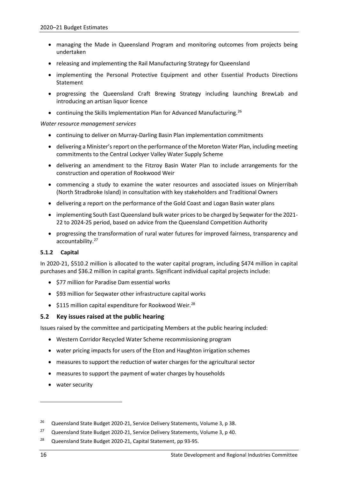- managing the Made in Queensland Program and monitoring outcomes from projects being undertaken
- releasing and implementing the Rail Manufacturing Strategy for Queensland
- implementing the Personal Protective Equipment and other Essential Products Directions Statement
- progressing the Queensland Craft Brewing Strategy including launching BrewLab and introducing an artisan liquor licence
- continuing the Skills Implementation Plan for Advanced Manufacturing.<sup>[26](#page-19-2)</sup>

## *Water resource management services*

- continuing to deliver on Murray-Darling Basin Plan implementation commitments
- delivering a Minister's report on the performance of the Moreton Water Plan, including meeting commitments to the Central Lockyer Valley Water Supply Scheme
- delivering an amendment to the Fitzroy Basin Water Plan to include arrangements for the construction and operation of Rookwood Weir
- commencing a study to examine the water resources and associated issues on Minjerribah (North Stradbroke Island) in consultation with key stakeholders and Traditional Owners
- delivering a report on the performance of the Gold Coast and Logan Basin water plans
- implementing South East Queensland bulk water prices to be charged by Seqwater for the 2021- 22 to 2024-25 period, based on advice from the Queensland Competition Authority
- progressing the transformation of rural water futures for improved fairness, transparency and accountability. [27](#page-19-3)

## <span id="page-19-0"></span>**5.1.2 Capital**

In 2020-21, \$510.2 million is allocated to the water capital program, including \$474 million in capital purchases and \$36.2 million in capital grants. Significant individual capital projects include:

- \$77 million for Paradise Dam essential works
- \$93 million for Seqwater other infrastructure capital works
- \$115 million capital expenditure for Rookwood Weir.<sup>[28](#page-19-4)</sup>

# <span id="page-19-1"></span>**5.2 Key issues raised at the public hearing**

Issues raised by the committee and participating Members at the public hearing included:

- Western Corridor Recycled Water Scheme recommissioning program
- water pricing impacts for users of the Eton and Haughton irrigation schemes
- measures to support the reduction of water charges for the agricultural sector
- measures to support the payment of water charges by households
- water security

**.** 

<span id="page-19-2"></span><sup>&</sup>lt;sup>26</sup> Queensland State Budget 2020-21, Service Delivery Statements, Volume 3, p 38.

<span id="page-19-3"></span><sup>&</sup>lt;sup>27</sup> Queensland State Budget 2020-21, Service Delivery Statements, Volume 3, p 40.

<span id="page-19-4"></span><sup>28</sup> Queensland State Budget 2020-21, Capital Statement, pp 93-95.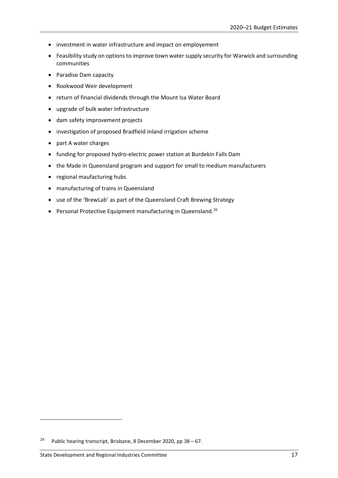- investment in water infrastructure and impact on employement
- Feasibility study on options to improve town water supply security for Warwick and surrounding communities
- Paradise Dam capacity
- Rookwood Weir development
- return of financial dividends through the Mount Isa Water Board
- upgrade of bulk water infrastructure
- dam safety improvement projects
- investigation of proposed Bradfield inland irrigation scheme
- part A water charges
- funding for proposed hydro-electric power station at Burdekin Falls Dam
- the Made in Queensland program and support for small to medium manufacturers
- regional maufacturing hubs
- manufacturing of trains in Queensland
- use of the 'BrewLab' as part of the Queensland Craft Brewing Strategy
- Personal Protective Equipment manufacturing in Queensland.<sup>[29](#page-20-0)</sup>

**.** 

<span id="page-20-0"></span><sup>&</sup>lt;sup>29</sup> Public hearing transcript, Brisbane, 8 December 2020, pp  $38 - 67$ .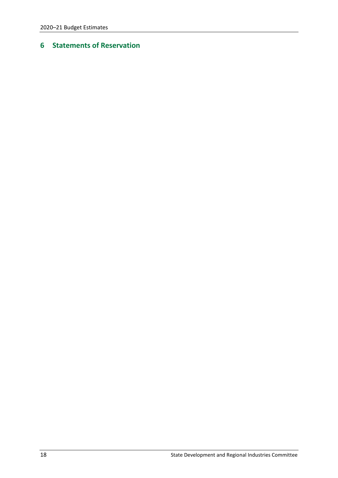# <span id="page-21-0"></span>**Statements of Reservation**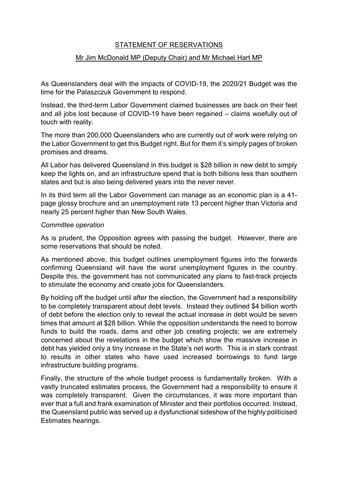# STATEMENT OF RESERVATIONS

# Mr Jim McDonald MP (Deputy Chair) and Mr Michael Hart MP

As Queenslanders deal with the impacts of COVID-19, the 2020/21 Budget was the time for the Palaszczuk Government to respond.

Instead, the third-term Labor Government claimed businesses are back on their feet and all jobs lost because of COVID-19 have been regained – claims woefully out of touch with reality.

The more than 200,000 Queenslanders who are currently out of work were relying on the Labor Government to get this Budget right. But for them it's simply pages of broken promises and dreams.

All Labor has delivered Queensland in this budget is \$28 billion in new debt to simply keep the lights on, and an infrastructure spend that is both billions less than southern states and but is also being delivered years into the never never.

In its third term all the Labor Government can manage as an economic plan is a 41 page glossy brochure and an unemployment rate 13 percent higher than Victoria and nearly 25 percent higher than New South Wales.

# *Committee operation*

As is prudent, the Opposition agrees with passing the budget. However, there are some reservations that should be noted.

As mentioned above, this budget outlines unemployment figures into the forwards confirming Queensland will have the worst unemployment figures in the country. Despite this, the government has not communicated any plans to fast-track projects to stimulate the economy and create jobs for Queenslanders.

By holding off the budget until after the election, the Government had a responsibility to be completely transparent about debt levels. Instead they outlined \$4 billion worth of debt before the election only to reveal the actual increase in debt would be seven times that amount at \$28 billion. While the opposition understands the need to borrow funds to build the roads, dams and other job creating projects; we are extremely concerned about the revelations in the budget which show the massive increase in debt has yielded only a tiny increase in the State's net worth. This is in stark contrast to results in other states who have used increased borrowings to fund large infrastructure building programs.

Finally, the structure of the whole budget process is fundamentally broken. With a vastly truncated estimates process, the Government had a responsibility to ensure it was completely transparent. Given the circumstances, it was more important than ever that a full and frank examination of Minister and their portfolios occurred. Instead, the Queensland public was served up a dysfunctional sideshow of the highly politicised Estimates hearings.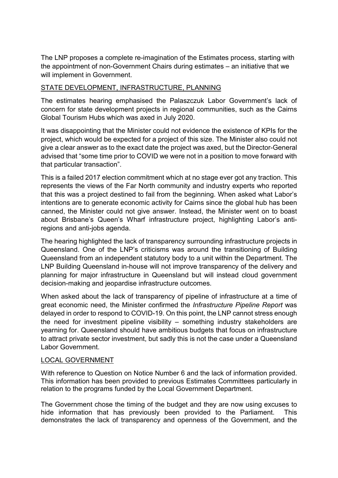The LNP proposes a complete re-imagination of the Estimates process, starting with the appointment of non-Government Chairs during estimates – an initiative that we will implement in Government.

# STATE DEVELOPMENT, INFRASTRUCTURE, PLANNING

The estimates hearing emphasised the Palaszczuk Labor Government's lack of concern for state development projects in regional communities, such as the Cairns Global Tourism Hubs which was axed in July 2020.

It was disappointing that the Minister could not evidence the existence of KPIs for the project, which would be expected for a project of this size. The Minister also could not give a clear answer as to the exact date the project was axed, but the Director-General advised that "some time prior to COVID we were not in a position to move forward with that particular transaction".

This is a failed 2017 election commitment which at no stage ever got any traction. This represents the views of the Far North community and industry experts who reported that this was a project destined to fail from the beginning. When asked what Labor's intentions are to generate economic activity for Cairns since the global hub has been canned, the Minister could not give answer. Instead, the Minister went on to boast about Brisbane's Queen's Wharf infrastructure project, highlighting Labor's antiregions and anti-jobs agenda.

The hearing highlighted the lack of transparency surrounding infrastructure projects in Queensland. One of the LNP's criticisms was around the transitioning of Building Queensland from an independent statutory body to a unit within the Department. The LNP Building Queensland in-house will not improve transparency of the delivery and planning for major infrastructure in Queensland but will instead cloud government decision-making and jeopardise infrastructure outcomes.

When asked about the lack of transparency of pipeline of infrastructure at a time of great economic need, the Minister confirmed the *Infrastructure Pipeline Report* was delayed in order to respond to COVID-19. On this point, the LNP cannot stress enough the need for investment pipeline visibility – something industry stakeholders are yearning for. Queensland should have ambitious budgets that focus on infrastructure to attract private sector investment, but sadly this is not the case under a Queensland Labor Government.

# LOCAL GOVERNMENT

With reference to Question on Notice Number 6 and the lack of information provided. This information has been provided to previous Estimates Committees particularly in relation to the programs funded by the Local Government Department.

The Government chose the timing of the budget and they are now using excuses to hide information that has previously been provided to the Parliament. This demonstrates the lack of transparency and openness of the Government, and the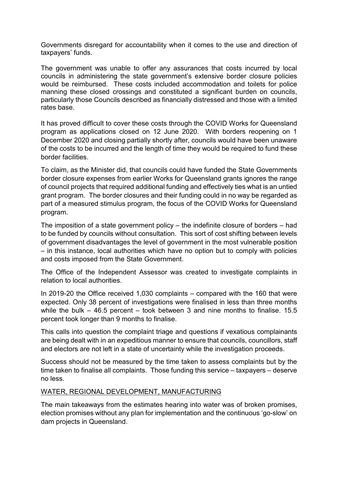Governments disregard for accountability when it comes to the use and direction of taxpayers' funds.

The government was unable to offer any assurances that costs incurred by local councils in administering the state government's extensive border closure policies would be reimbursed. These costs included accommodation and toilets for police manning these closed crossings and constituted a significant burden on councils, particularly those Councils described as financially distressed and those with a limited rates base.

It has proved difficult to cover these costs through the COVID Works for Queensland program as applications closed on 12 June 2020. With borders reopening on 1 December 2020 and closing partially shortly after, councils would have been unaware of the costs to be incurred and the length of time they would be required to fund these border facilities.

To claim, as the Minister did, that councils could have funded the State Governments border closure expenses from earlier Works for Queensland grants ignores the range of council projects that required additional funding and effectively ties what is an untied grant program. The border closures and their funding could in no way be regarded as part of a measured stimulus program, the focus of the COVID Works for Queensland program.

The imposition of a state government policy – the indefinite closure of borders – had to be funded by councils without consultation. This sort of cost shifting between levels of government disadvantages the level of government in the most vulnerable position – in this instance, local authorities which have no option but to comply with policies and costs imposed from the State Government.

The Office of the Independent Assessor was created to investigate complaints in relation to local authorities.

In 2019-20 the Office received 1,030 complaints – compared with the 160 that were expected. Only 38 percent of investigations were finalised in less than three months while the bulk – 46.5 percent – took between 3 and nine months to finalise. 15.5 percent took longer than 9 months to finalise.

This calls into question the complaint triage and questions if vexatious complainants are being dealt with in an expeditious manner to ensure that councils, councillors, staff and electors are not left in a state of uncertainty while the investigation proceeds.

Success should not be measured by the time taken to assess complaints but by the time taken to finalise all complaints. Those funding this service – taxpayers – deserve no less.

# WATER, REGIONAL DEVELOPMENT, MANUFACTURING

The main takeaways from the estimates hearing into water was of broken promises, election promises without any plan for implementation and the continuous 'go-slow' on dam projects in Queensland.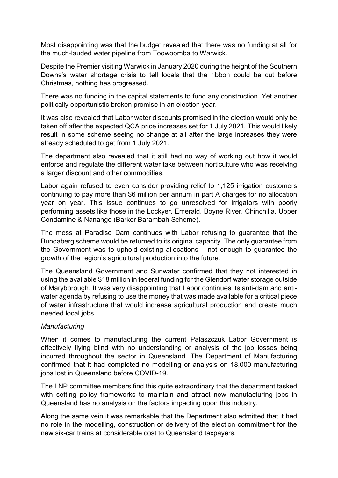Most disappointing was that the budget revealed that there was no funding at all for the much-lauded water pipeline from Toowoomba to Warwick.

Despite the Premier visiting Warwick in January 2020 during the height of the Southern Downs's water shortage crisis to tell locals that the ribbon could be cut before Christmas, nothing has progressed.

There was no funding in the capital statements to fund any construction. Yet another politically opportunistic broken promise in an election year.

It was also revealed that Labor water discounts promised in the election would only be taken off after the expected QCA price increases set for 1 July 2021. This would likely result in some scheme seeing no change at all after the large increases they were already scheduled to get from 1 July 2021.

The department also revealed that it still had no way of working out how it would enforce and regulate the different water take between horticulture who was receiving a larger discount and other commodities.

Labor again refused to even consider providing relief to 1,125 irrigation customers continuing to pay more than \$6 million per annum in part A charges for no allocation year on year. This issue continues to go unresolved for irrigators with poorly performing assets like those in the Lockyer, Emerald, Boyne River, Chinchilla, Upper Condamine & Nanango (Barker Barambah Scheme).

The mess at Paradise Dam continues with Labor refusing to guarantee that the Bundaberg scheme would be returned to its original capacity. The only guarantee from the Government was to uphold existing allocations – not enough to guarantee the growth of the region's agricultural production into the future.

The Queensland Government and Sunwater confirmed that they not interested in using the available \$18 million in federal funding for the Glendorf water storage outside of Maryborough. It was very disappointing that Labor continues its anti-dam and antiwater agenda by refusing to use the money that was made available for a critical piece of water infrastructure that would increase agricultural production and create much needed local jobs.

# *Manufacturing*

When it comes to manufacturing the current Palaszczuk Labor Government is effectively flying blind with no understanding or analysis of the job losses being incurred throughout the sector in Queensland. The Department of Manufacturing confirmed that it had completed no modelling or analysis on 18,000 manufacturing jobs lost in Queensland before COVID-19.

The LNP committee members find this quite extraordinary that the department tasked with setting policy frameworks to maintain and attract new manufacturing jobs in Queensland has no analysis on the factors impacting upon this industry.

Along the same vein it was remarkable that the Department also admitted that it had no role in the modelling, construction or delivery of the election commitment for the new six-car trains at considerable cost to Queensland taxpayers.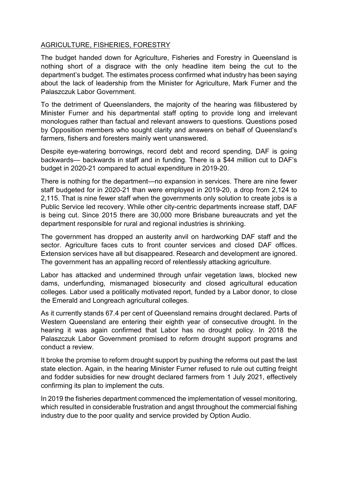# AGRICULTURE, FISHERIES, FORESTRY

The budget handed down for Agriculture, Fisheries and Forestry in Queensland is nothing short of a disgrace with the only headline item being the cut to the department's budget. The estimates process confirmed what industry has been saying about the lack of leadership from the Minister for Agriculture, Mark Furner and the Palaszczuk Labor Government.

To the detriment of Queenslanders, the majority of the hearing was filibustered by Minister Furner and his departmental staff opting to provide long and irrelevant monologues rather than factual and relevant answers to questions. Questions posed by Opposition members who sought clarity and answers on behalf of Queensland's farmers, fishers and foresters mainly went unanswered.

Despite eye-watering borrowings, record debt and record spending, DAF is going backwards— backwards in staff and in funding. There is a \$44 million cut to DAF's budget in 2020-21 compared to actual expenditure in 2019-20.

There is nothing for the department—no expansion in services. There are nine fewer staff budgeted for in 2020-21 than were employed in 2019-20, a drop from 2,124 to 2,115. That is nine fewer staff when the governments only solution to create jobs is a Public Service led recovery. While other city-centric departments increase staff, DAF is being cut. Since 2015 there are 30,000 more Brisbane bureaucrats and yet the department responsible for rural and regional industries is shrinking.

The government has dropped an austerity anvil on hardworking DAF staff and the sector. Agriculture faces cuts to front counter services and closed DAF offices. Extension services have all but disappeared. Research and development are ignored. The government has an appalling record of relentlessly attacking agriculture.

Labor has attacked and undermined through unfair vegetation laws, blocked new dams, underfunding, mismanaged biosecurity and closed agricultural education colleges. Labor used a politically motivated report, funded by a Labor donor, to close the Emerald and Longreach agricultural colleges.

As it currently stands 67.4 per cent of Queensland remains drought declared. Parts of Western Queensland are entering their eighth year of consecutive drought. In the hearing it was again confirmed that Labor has no drought policy. In 2018 the Palaszczuk Labor Government promised to reform drought support programs and conduct a review.

It broke the promise to reform drought support by pushing the reforms out past the last state election. Again, in the hearing Minister Furner refused to rule out cutting freight and fodder subsidies for new drought declared farmers from 1 July 2021, effectively confirming its plan to implement the cuts.

In 2019 the fisheries department commenced the implementation of vessel monitoring, which resulted in considerable frustration and angst throughout the commercial fishing industry due to the poor quality and service provided by Option Audio.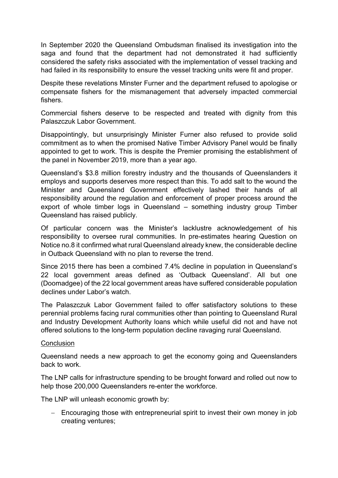In September 2020 the Queensland Ombudsman finalised its investigation into the saga and found that the department had not demonstrated it had sufficiently considered the safety risks associated with the implementation of vessel tracking and had failed in its responsibility to ensure the vessel tracking units were fit and proper.

Despite these revelations Minster Furner and the department refused to apologise or compensate fishers for the mismanagement that adversely impacted commercial fishers.

Commercial fishers deserve to be respected and treated with dignity from this Palaszczuk Labor Government.

Disappointingly, but unsurprisingly Minister Furner also refused to provide solid commitment as to when the promised Native Timber Advisory Panel would be finally appointed to get to work. This is despite the Premier promising the establishment of the panel in November 2019, more than a year ago.

Queensland's \$3.8 million forestry industry and the thousands of Queenslanders it employs and supports deserves more respect than this. To add salt to the wound the Minister and Queensland Government effectively lashed their hands of all responsibility around the regulation and enforcement of proper process around the export of whole timber logs in Queensland – something industry group Timber Queensland has raised publicly.

Of particular concern was the Minister's lacklustre acknowledgement of his responsibility to oversee rural communities. In pre-estimates hearing Question on Notice no.8 it confirmed what rural Queensland already knew, the considerable decline in Outback Queensland with no plan to reverse the trend.

Since 2015 there has been a combined 7.4% decline in population in Queensland's 22 local government areas defined as 'Outback Queensland'. All but one (Doomadgee) of the 22 local government areas have suffered considerable population declines under Labor's watch.

The Palaszczuk Labor Government failed to offer satisfactory solutions to these perennial problems facing rural communities other than pointing to Queensland Rural and Industry Development Authority loans which while useful did not and have not offered solutions to the long-term population decline ravaging rural Queensland.

# **Conclusion**

Queensland needs a new approach to get the economy going and Queenslanders back to work.

The LNP calls for infrastructure spending to be brought forward and rolled out now to help those 200,000 Queenslanders re-enter the workforce.

The LNP will unleash economic growth by:

− Encouraging those with entrepreneurial spirit to invest their own money in job creating ventures;